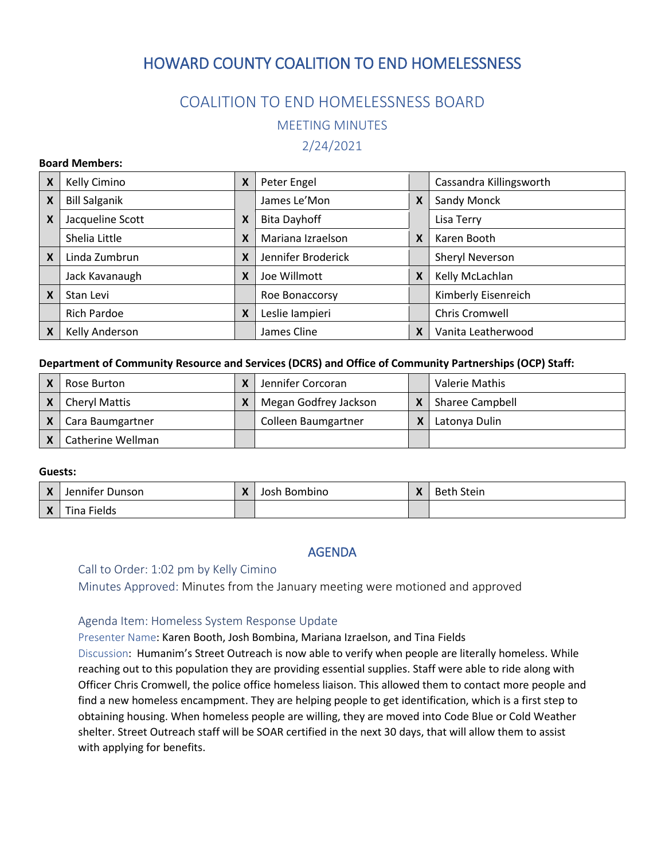# HOWARD COUNTY COALITION TO END HOMELESSNESS

## COALITION TO END HOMELESSNESS BOARD

MEETING MINUTES

2/24/2021

#### **Board Members:**

| X | Kelly Cimino         | X | Peter Engel         |                           | Cassandra Killingsworth |
|---|----------------------|---|---------------------|---------------------------|-------------------------|
| X | <b>Bill Salganik</b> |   | James Le'Mon        | X                         | Sandy Monck             |
| X | Jacqueline Scott     | X | <b>Bita Dayhoff</b> |                           | Lisa Terry              |
|   | Shelia Little        | X | Mariana Izraelson   | X                         | Karen Booth             |
| X | Linda Zumbrun        | X | Jennifer Broderick  |                           | Sheryl Neverson         |
|   | Jack Kavanaugh       | X | Joe Willmott        | X                         | Kelly McLachlan         |
| X | Stan Levi            |   | Roe Bonaccorsy      |                           | Kimberly Eisenreich     |
|   | <b>Rich Pardoe</b>   | X | Leslie lampieri     |                           | Chris Cromwell          |
| X | Kelly Anderson       |   | James Cline         | $\boldsymbol{\mathsf{x}}$ | Vanita Leatherwood      |

#### **Department of Community Resource and Services (DCRS) and Office of Community Partnerships (OCP) Staff:**

| Rose Burton          | Jennifer Corcoran     | Valerie Mathis         |
|----------------------|-----------------------|------------------------|
| <b>Cheryl Mattis</b> | Megan Godfrey Jackson | <b>Sharee Campbell</b> |
| Cara Baumgartner     | Colleen Baumgartner   | Latonya Dulin          |
| Catherine Wellman    |                       |                        |

### **Guests:**

|              | Jennifer<br>* Dunson        | $\mathbf{v}$<br>$\sqrt{ }$ | Josh Bombino | $\mathbf{v}$<br>$\sqrt{ }$ | <b>Beth Stein</b> |
|--------------|-----------------------------|----------------------------|--------------|----------------------------|-------------------|
| $\mathbf{v}$ | $- \cdot$<br>Fields<br>ına. |                            |              |                            |                   |

## AGENDA

## Call to Order: 1:02 pm by Kelly Cimino

Minutes Approved: Minutes from the January meeting were motioned and approved

## Agenda Item: Homeless System Response Update

Presenter Name: Karen Booth, Josh Bombina, Mariana Izraelson, and Tina Fields

Discussion: Humanim's Street Outreach is now able to verify when people are literally homeless. While reaching out to this population they are providing essential supplies. Staff were able to ride along with Officer Chris Cromwell, the police office homeless liaison. This allowed them to contact more people and find a new homeless encampment. They are helping people to get identification, which is a first step to obtaining housing. When homeless people are willing, they are moved into Code Blue or Cold Weather shelter. Street Outreach staff will be SOAR certified in the next 30 days, that will allow them to assist with applying for benefits.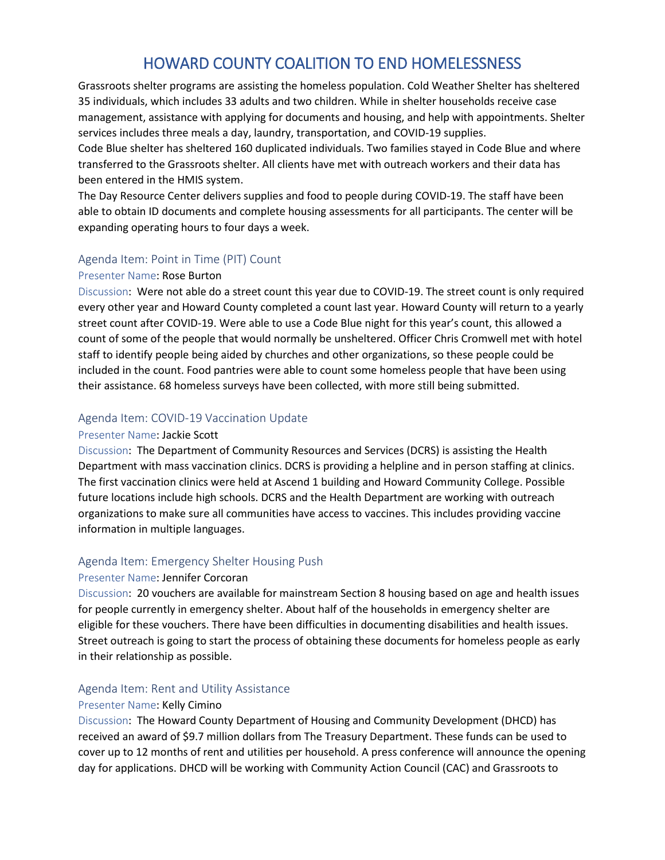# HOWARD COUNTY COALITION TO END HOMELESSNESS

Grassroots shelter programs are assisting the homeless population. Cold Weather Shelter has sheltered 35 individuals, which includes 33 adults and two children. While in shelter households receive case management, assistance with applying for documents and housing, and help with appointments. Shelter services includes three meals a day, laundry, transportation, and COVID-19 supplies.

Code Blue shelter has sheltered 160 duplicated individuals. Two families stayed in Code Blue and where transferred to the Grassroots shelter. All clients have met with outreach workers and their data has been entered in the HMIS system.

The Day Resource Center delivers supplies and food to people during COVID-19. The staff have been able to obtain ID documents and complete housing assessments for all participants. The center will be expanding operating hours to four days a week.

## Agenda Item: Point in Time (PIT) Count

#### Presenter Name: Rose Burton

Discussion: Were not able do a street count this year due to COVID-19. The street count is only required every other year and Howard County completed a count last year. Howard County will return to a yearly street count after COVID-19. Were able to use a Code Blue night for this year's count, this allowed a count of some of the people that would normally be unsheltered. Officer Chris Cromwell met with hotel staff to identify people being aided by churches and other organizations, so these people could be included in the count. Food pantries were able to count some homeless people that have been using their assistance. 68 homeless surveys have been collected, with more still being submitted.

## Agenda Item: COVID-19 Vaccination Update

## Presenter Name: Jackie Scott

Discussion: The Department of Community Resources and Services (DCRS) is assisting the Health Department with mass vaccination clinics. DCRS is providing a helpline and in person staffing at clinics. The first vaccination clinics were held at Ascend 1 building and Howard Community College. Possible future locations include high schools. DCRS and the Health Department are working with outreach organizations to make sure all communities have access to vaccines. This includes providing vaccine information in multiple languages.

## Agenda Item: Emergency Shelter Housing Push

## Presenter Name: Jennifer Corcoran

Discussion: 20 vouchers are available for mainstream Section 8 housing based on age and health issues for people currently in emergency shelter. About half of the households in emergency shelter are eligible for these vouchers. There have been difficulties in documenting disabilities and health issues. Street outreach is going to start the process of obtaining these documents for homeless people as early in their relationship as possible.

## Agenda Item: Rent and Utility Assistance

## Presenter Name: Kelly Cimino

Discussion: The Howard County Department of Housing and Community Development (DHCD) has received an award of \$9.7 million dollars from The Treasury Department. These funds can be used to cover up to 12 months of rent and utilities per household. A press conference will announce the opening day for applications. DHCD will be working with Community Action Council (CAC) and Grassroots to